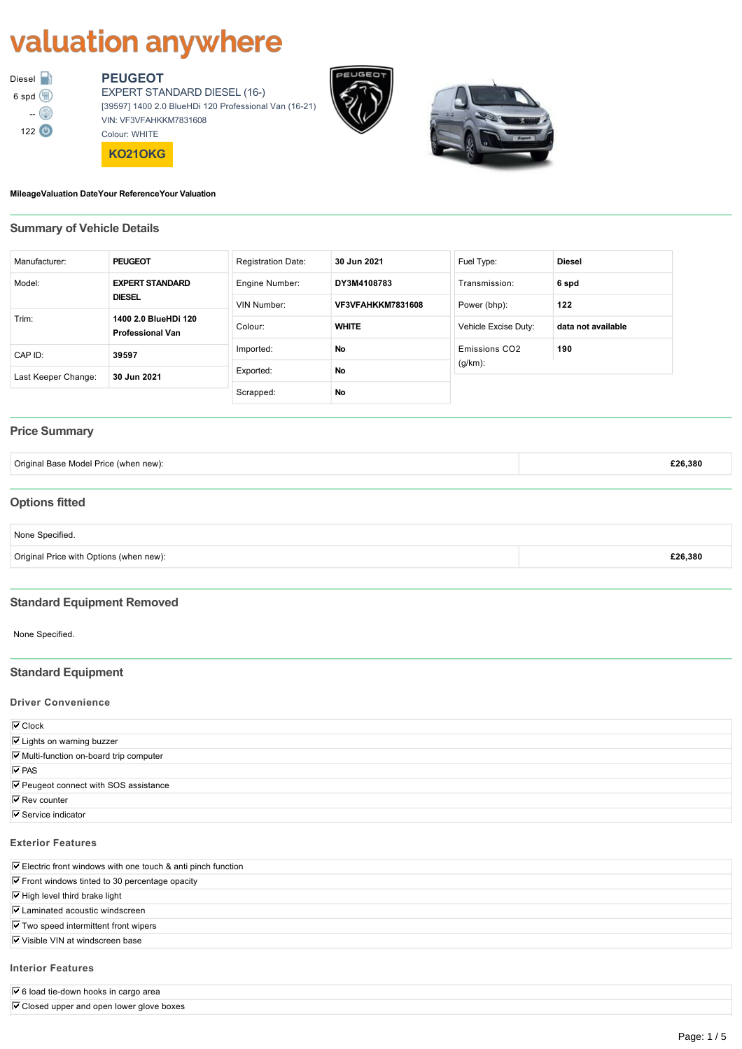# valuation anywhere



# **PEUGEOT**

EXPERT STANDARD DIESEL (16) [39597] 1400 2.0 BlueHDi 120 Professional Van (1621) VIN: VF3VFAHKKM7831608 Colour: WHITE

**KO21OKG**





#### **MileageValuation DateYour ReferenceYour Valuation**

# **Summary of Vehicle Details**

| Manufacturer:       | <b>PEUGEOT</b>                                  | <b>Registration Date:</b> | 30 Jun 2021              | Fuel Type:                | <b>Diesel</b>      |
|---------------------|-------------------------------------------------|---------------------------|--------------------------|---------------------------|--------------------|
| Model:              | <b>EXPERT STANDARD</b>                          | Engine Number:            | DY3M4108783              | Transmission:             | 6 spd              |
| <b>DIESEL</b>       |                                                 | VIN Number:               | <b>VF3VFAHKKM7831608</b> | Power (bhp):              | 122                |
| Trim:               | 1400 2.0 BlueHDi 120<br><b>Professional Van</b> | Colour:                   | <b>WHITE</b>             | Vehicle Excise Duty:      | data not available |
| CAP ID:             | 39597                                           | Imported:                 | No                       | Emissions CO <sub>2</sub> | 190                |
| Last Keeper Change: | 30 Jun 2021                                     | Exported:                 | No                       | $(g/km)$ :                |                    |
|                     |                                                 | Scrapped:                 | No                       |                           |                    |

#### **Price Summary**

| Original Base Model Price (when new):   | £26,380 |
|-----------------------------------------|---------|
|                                         |         |
| <b>Options fitted</b>                   |         |
| None Specified.                         |         |
| Original Price with Options (when new): | £26,380 |
|                                         |         |

#### **Standard Equipment Removed**

None Specified.

## **Standard Equipment**

#### **Driver Convenience**

| $\overline{\triangledown}$ Clock        |  |
|-----------------------------------------|--|
| <b>⊽</b> Lights on warning buzzer       |  |
| Ⅳ Multi-function on-board trip computer |  |
| $\overline{V}$ PAS                      |  |
| Ⅳ Peugeot connect with SOS assistance   |  |
| $\overline{\triangledown}$ Rev counter  |  |
| $\nabla$ Service indicator              |  |
|                                         |  |

#### **Exterior Features**

#### **Interior Features**

 $\overline{\nabla}$  6 load tie-down hooks in cargo area

 $\overline{\mathbf{V}}$  Closed upper and open lower glove boxes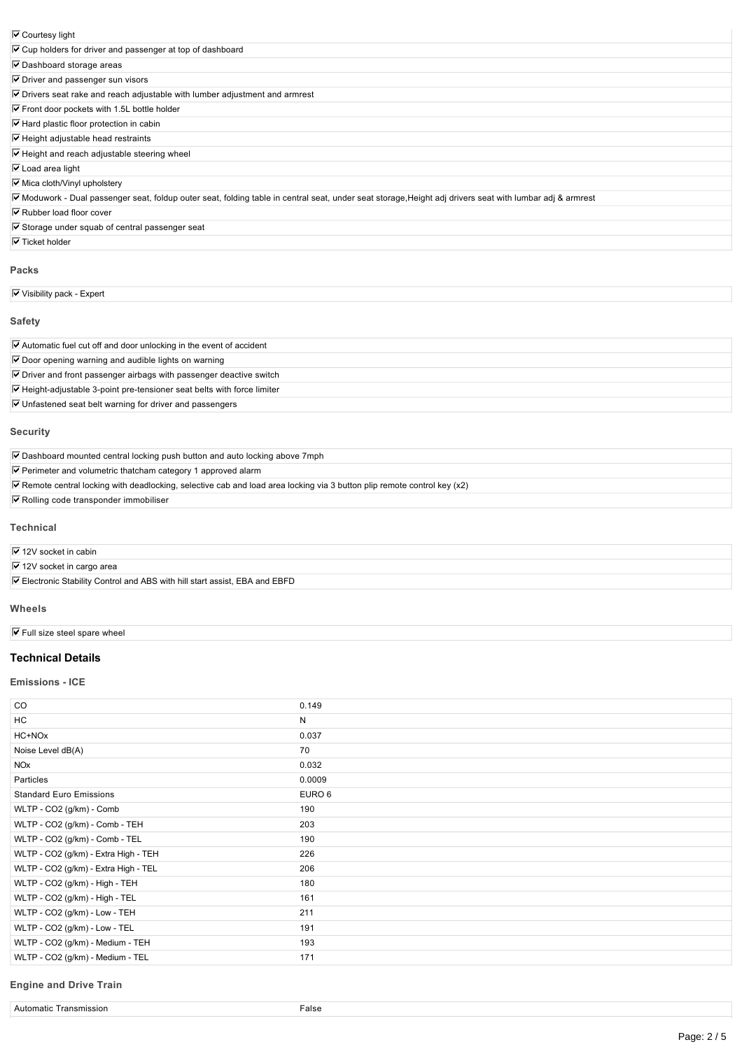| ✔ Courtesy light |  |
|------------------|--|
|------------------|--|

| $\overline{\mathsf{v}}$ Courtesy light                                                                                                                  |
|---------------------------------------------------------------------------------------------------------------------------------------------------------|
| $\triangledown$ Cup holders for driver and passenger at top of dashboard                                                                                |
| $\triangledown$ Dashboard storage areas                                                                                                                 |
| $\triangleright$ Driver and passenger sun visors                                                                                                        |
| $\triangledown$ Drivers seat rake and reach adjustable with lumber adjustment and armrest                                                               |
| $\triangledown$ Front door pockets with 1.5L bottle holder                                                                                              |
| $\triangledown$ Hard plastic floor protection in cabin                                                                                                  |
| $\triangleright$ Height adjustable head restraints                                                                                                      |
| $\triangledown$ Height and reach adjustable steering wheel                                                                                              |
| $\triangledown$ Load area light                                                                                                                         |
| <b>▽</b> Mica cloth/Vinyl upholstery                                                                                                                    |
| Moduwork - Dual passenger seat, foldup outer seat, folding table in central seat, under seat storage, Height adj drivers seat with lumbar adj & armrest |
| $\triangledown$ Rubber load floor cover                                                                                                                 |
| $\overline{M}$ Storage under squab of control passenger seat                                                                                            |

 $\triangledown$  Storage under squab of central passenger seat

 $\overline{\nabla}$  Ticket holder

#### **Packs**

 $\overline{\nabla}$  Visibility pack - Expert

#### **Safety**

| $\triangledown$ Automatic fuel cut off and door unlocking in the event of accident    |  |
|---------------------------------------------------------------------------------------|--|
| $\triangledown$ Door opening warning and audible lights on warning                    |  |
| $\triangledown$ Driver and front passenger airbags with passenger deactive switch     |  |
| $\triangledown$ Height-adjustable 3-point pre-tensioner seat belts with force limiter |  |
| $\triangledown$ Unfastened seat belt warning for driver and passengers                |  |
|                                                                                       |  |

#### **Security**

 $\overline{\mathbf{V}}$  Dashboard mounted central locking push button and auto locking above 7mph

 $\overline{\mathbf{V}}$  Perimeter and volumetric thatcham category 1 approved alarm

 $\overline{V}$  Remote central locking with deadlocking, selective cab and load area locking via 3 button plip remote control key (x2)

 $\nabla$  Rolling code transponder immobiliser

#### **Technical**

#### $\overline{\nabla}$  12V socket in cabin

 $\overline{\nabla}$  12V socket in cargo area

Electronic Stability Control and ABS with hill start assist, EBA and EBFD

#### **Wheels**

 $\overline{\mathbf{V}}$  Full size steel spare wheel

#### **Technical Details**

#### **Emissions ICE**

| CO.                                  | 0.149  |
|--------------------------------------|--------|
| HC                                   | N      |
| HC+NOx                               | 0.037  |
| Noise Level dB(A)                    | 70     |
| <b>NO<sub>x</sub></b>                | 0.032  |
| Particles                            | 0.0009 |
| <b>Standard Euro Emissions</b>       | EURO 6 |
| WLTP - CO2 (g/km) - Comb             | 190    |
| WLTP - CO2 (g/km) - Comb - TEH       | 203    |
| WLTP - CO2 (g/km) - Comb - TEL       | 190    |
| WLTP - CO2 (g/km) - Extra High - TEH | 226    |
| WLTP - CO2 (g/km) - Extra High - TEL | 206    |
| WLTP - CO2 (g/km) - High - TEH       | 180    |
| WLTP - CO2 (g/km) - High - TEL       | 161    |
| WLTP - CO2 (g/km) - Low - TEH        | 211    |
| WLTP - CO2 (g/km) - Low - TEL        | 191    |
| WLTP - CO2 (g/km) - Medium - TEH     | 193    |
| WLTP - CO2 (g/km) - Medium - TEL     | 171    |

#### **Engine and Drive Train**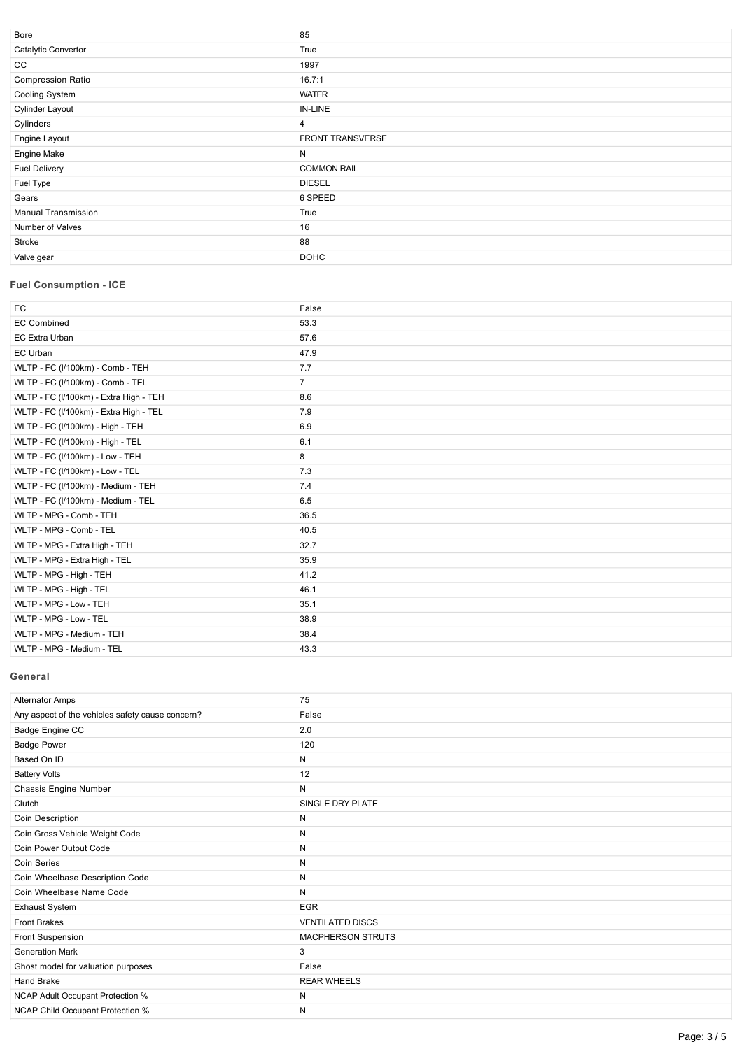| Bore                       | 85                      |
|----------------------------|-------------------------|
| Catalytic Convertor        | True                    |
| CC                         | 1997                    |
| <b>Compression Ratio</b>   | 16.7:1                  |
| Cooling System             | <b>WATER</b>            |
| <b>Cylinder Layout</b>     | IN-LINE                 |
| Cylinders                  | 4                       |
| Engine Layout              | <b>FRONT TRANSVERSE</b> |
| Engine Make                | N                       |
| <b>Fuel Delivery</b>       | <b>COMMON RAIL</b>      |
| Fuel Type                  | <b>DIESEL</b>           |
| Gears                      | 6 SPEED                 |
| <b>Manual Transmission</b> | True                    |
| Number of Valves           | 16                      |
| Stroke                     | 88                      |
| Valve gear                 | <b>DOHC</b>             |
|                            |                         |

# **Fuel Consumption ICE**

| EC                                     | False          |
|----------------------------------------|----------------|
| <b>EC Combined</b>                     | 53.3           |
| EC Extra Urban                         | 57.6           |
| EC Urban                               | 47.9           |
| WLTP - FC (I/100km) - Comb - TEH       | 7.7            |
| WLTP - FC (I/100km) - Comb - TEL       | $\overline{7}$ |
| WLTP - FC (I/100km) - Extra High - TEH | 8.6            |
| WLTP - FC (I/100km) - Extra High - TEL | 7.9            |
| WLTP - FC (I/100km) - High - TEH       | 6.9            |
| WLTP - FC (I/100km) - High - TEL       | 6.1            |
| WLTP - FC (I/100km) - Low - TEH        | 8              |
| WLTP - FC (I/100km) - Low - TEL        | 7.3            |
| WLTP - FC (I/100km) - Medium - TEH     | 7.4            |
| WLTP - FC (I/100km) - Medium - TEL     | 6.5            |
| WLTP - MPG - Comb - TEH                | 36.5           |
| WLTP - MPG - Comb - TEL                | 40.5           |
| WLTP - MPG - Extra High - TEH          | 32.7           |
| WLTP - MPG - Extra High - TEL          | 35.9           |
| WLTP - MPG - High - TEH                | 41.2           |
| WLTP - MPG - High - TEL                | 46.1           |
| WLTP - MPG - Low - TEH                 | 35.1           |
| WLTP - MPG - Low - TEL                 | 38.9           |
| WLTP - MPG - Medium - TEH              | 38.4           |
| WLTP - MPG - Medium - TEL              | 43.3           |

### **General**

| <b>Alternator Amps</b>                           | 75                      |
|--------------------------------------------------|-------------------------|
| Any aspect of the vehicles safety cause concern? | False                   |
| Badge Engine CC                                  | 2.0                     |
| <b>Badge Power</b>                               | 120                     |
| Based On ID                                      | N                       |
| <b>Battery Volts</b>                             | 12                      |
| Chassis Engine Number                            | N                       |
| Clutch                                           | SINGLE DRY PLATE        |
| Coin Description                                 | N                       |
| Coin Gross Vehicle Weight Code                   | N                       |
| Coin Power Output Code                           | N                       |
| <b>Coin Series</b>                               | N                       |
| Coin Wheelbase Description Code                  | N                       |
| Coin Wheelbase Name Code                         | N                       |
| <b>Exhaust System</b>                            | <b>EGR</b>              |
| <b>Front Brakes</b>                              | <b>VENTILATED DISCS</b> |
| Front Suspension                                 | MACPHERSON STRUTS       |
| <b>Generation Mark</b>                           | 3                       |
| Ghost model for valuation purposes               | False                   |
| <b>Hand Brake</b>                                | <b>REAR WHEELS</b>      |
| NCAP Adult Occupant Protection %                 | N                       |
| <b>NCAP Child Occupant Protection %</b>          | N                       |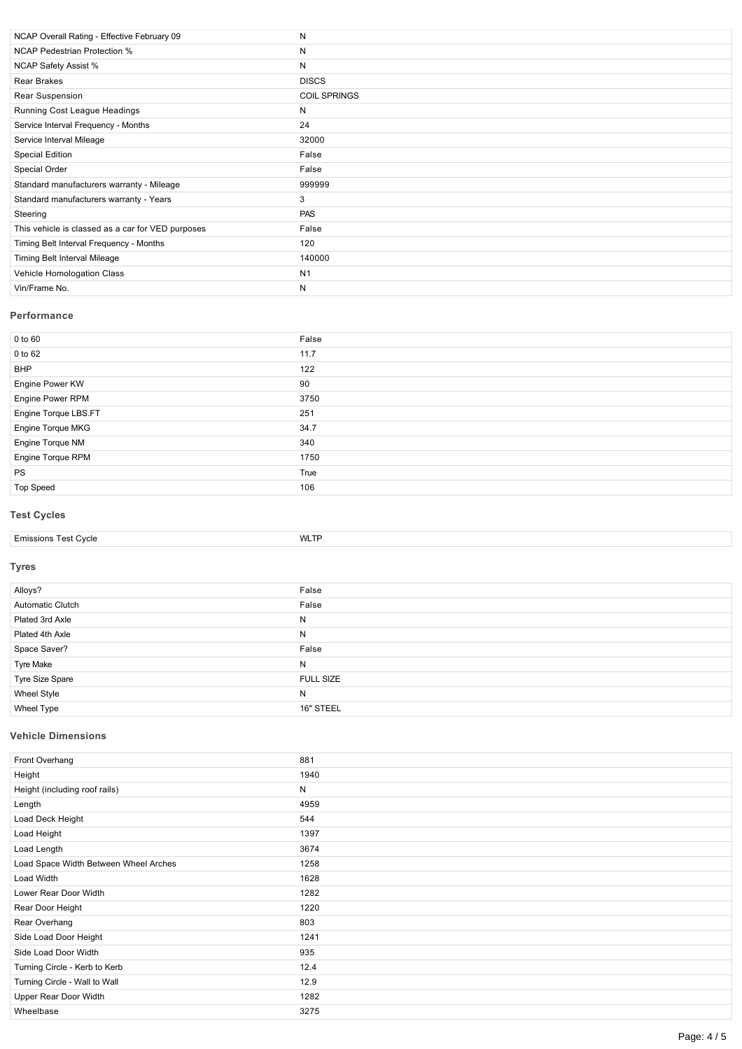| NCAP Overall Rating - Effective February 09       | Ν                   |
|---------------------------------------------------|---------------------|
| <b>NCAP Pedestrian Protection %</b>               | Ν                   |
| <b>NCAP Safety Assist %</b>                       | Ν                   |
| Rear Brakes                                       | <b>DISCS</b>        |
| Rear Suspension                                   | <b>COIL SPRINGS</b> |
| Running Cost League Headings                      | N                   |
| Service Interval Frequency - Months               | 24                  |
| Service Interval Mileage                          | 32000               |
| Special Edition                                   | False               |
| Special Order                                     | False               |
| Standard manufacturers warranty - Mileage         | 999999              |
| Standard manufacturers warranty - Years           | 3                   |
| Steering                                          | PAS                 |
| This vehicle is classed as a car for VED purposes | False               |
| Timing Belt Interval Frequency - Months           | 120                 |
| Timing Belt Interval Mileage                      | 140000              |
| Vehicle Homologation Class                        | N <sub>1</sub>      |
| Vin/Frame No.                                     | Ν                   |

#### **Performance**

| False |
|-------|
| 11.7  |
| 122   |
| 90    |
| 3750  |
| 251   |
| 34.7  |
| 340   |
| 1750  |
| True  |
| 106   |
|       |

# **Test Cycles**

| t Cvcle<br>oot.<br>- missions<br>. . | MAI<br>' v ∟ ⊺ |
|--------------------------------------|----------------|

#### **Tyres**

| Alloys?                 | False            |
|-------------------------|------------------|
| <b>Automatic Clutch</b> | False            |
| Plated 3rd Axle         | N                |
| Plated 4th Axle         | N                |
| Space Saver?            | False            |
| Tyre Make               | N                |
| Tyre Size Spare         | <b>FULL SIZE</b> |
| <b>Wheel Style</b>      | N                |
| Wheel Type              | 16" STEEL        |

# **Vehicle Dimensions**

| Front Overhang                        | 881  |
|---------------------------------------|------|
| Height                                | 1940 |
| Height (including roof rails)         | N    |
| Length                                | 4959 |
| Load Deck Height                      | 544  |
| Load Height                           | 1397 |
| Load Length                           | 3674 |
| Load Space Width Between Wheel Arches | 1258 |
| Load Width                            | 1628 |
| Lower Rear Door Width                 | 1282 |
| Rear Door Height                      | 1220 |
| Rear Overhang                         | 803  |
| Side Load Door Height                 | 1241 |
| Side Load Door Width                  | 935  |
| Turning Circle - Kerb to Kerb         | 12.4 |
| Turning Circle - Wall to Wall         | 12.9 |
| Upper Rear Door Width                 | 1282 |
| Wheelbase                             | 3275 |